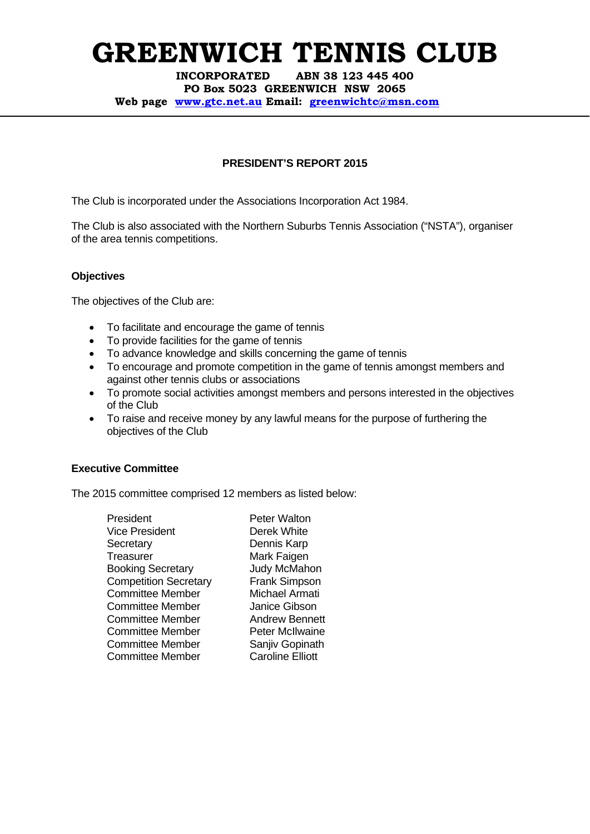**INCORPORATED ABN 38 123 445 400 PO Box 5023 GREENWICH NSW 2065 Web page www.gtc.net.au Email: greenwichtc@msn.com**

## **PRESIDENT'S REPORT 2015**

The Club is incorporated under the Associations Incorporation Act 1984.

The Club is also associated with the Northern Suburbs Tennis Association ("NSTA"), organiser of the area tennis competitions.

### **Objectives**

The objectives of the Club are:

- To facilitate and encourage the game of tennis
- To provide facilities for the game of tennis
- To advance knowledge and skills concerning the game of tennis
- To encourage and promote competition in the game of tennis amongst members and against other tennis clubs or associations
- To promote social activities amongst members and persons interested in the objectives of the Club
- To raise and receive money by any lawful means for the purpose of furthering the objectives of the Club

### **Executive Committee**

The 2015 committee comprised 12 members as listed below:

President Peter Walton Vice President Derek White Secretary Dennis Karp Treasurer Mark Faigen Booking Secretary Judy McMahon Competition Secretary Frank Simpson Committee Member Michael Armati Committee Member Janice Gibson Committee Member **Andrew Bennett** Committee Member Peter McIlwaine Committee Member Sanjiv Gopinath Committee Member Caroline Elliott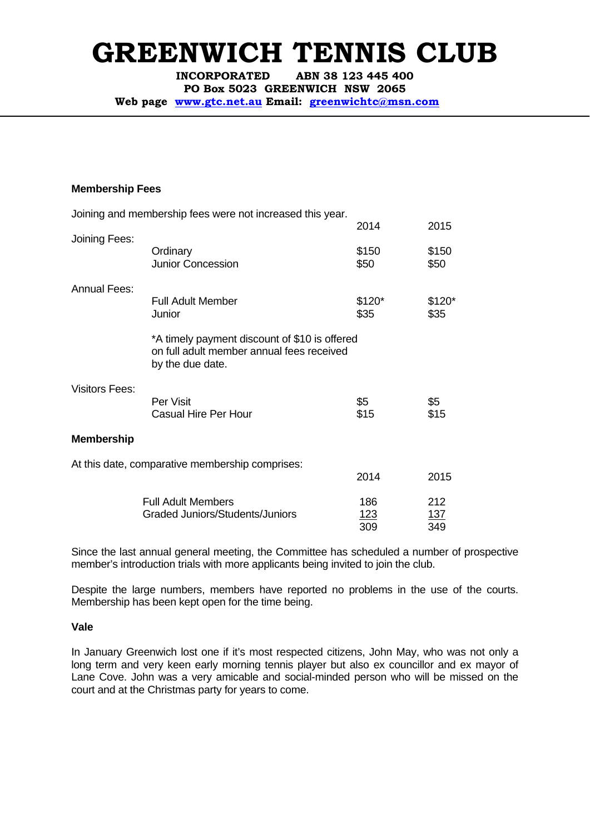**INCORPORATED ABN 38 123 445 400** 

**PO Box 5023 GREENWICH NSW 2065** 

**Web page www.gtc.net.au Email: greenwichtc@msn.com**

#### **Membership Fees**

|                       | Joining and membership fees were not increased this year.                                                      |                 |                 |
|-----------------------|----------------------------------------------------------------------------------------------------------------|-----------------|-----------------|
|                       |                                                                                                                | 2014            | 2015            |
| Joining Fees:         | Ordinary<br><b>Junior Concession</b>                                                                           | \$150<br>\$50   | \$150<br>\$50   |
| <b>Annual Fees:</b>   |                                                                                                                |                 |                 |
|                       | Full Adult Member<br>Junior                                                                                    | $$120*$<br>\$35 | $$120*$<br>\$35 |
|                       | *A timely payment discount of \$10 is offered<br>on full adult member annual fees received<br>by the due date. |                 |                 |
| <b>Visitors Fees:</b> | Per Visit                                                                                                      | \$5             | \$5             |
|                       | <b>Casual Hire Per Hour</b>                                                                                    | \$15            | \$15            |
| <b>Membership</b>     |                                                                                                                |                 |                 |
|                       | At this date, comparative membership comprises:                                                                |                 |                 |
|                       |                                                                                                                | 2014            | 2015            |
|                       | <b>Full Adult Members</b>                                                                                      | 186             | 212             |
|                       | Graded Juniors/Students/Juniors                                                                                | 123<br>309      | 137<br>349      |

Since the last annual general meeting, the Committee has scheduled a number of prospective member's introduction trials with more applicants being invited to join the club.

Despite the large numbers, members have reported no problems in the use of the courts. Membership has been kept open for the time being.

#### **Vale**

In January Greenwich lost one if it's most respected citizens, John May, who was not only a long term and very keen early morning tennis player but also ex councillor and ex mayor of Lane Cove. John was a very amicable and social-minded person who will be missed on the court and at the Christmas party for years to come.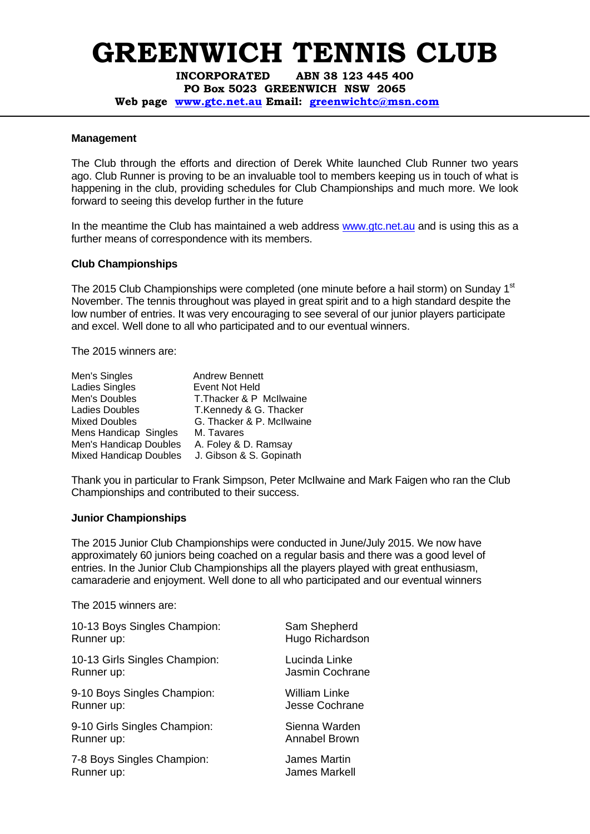**INCORPORATED ABN 38 123 445 400 PO Box 5023 GREENWICH NSW 2065** 

**Web page www.gtc.net.au Email: greenwichtc@msn.com**

#### **Management**

The Club through the efforts and direction of Derek White launched Club Runner two years ago. Club Runner is proving to be an invaluable tool to members keeping us in touch of what is happening in the club, providing schedules for Club Championships and much more. We look forward to seeing this develop further in the future

In the meantime the Club has maintained a web address www.gtc.net.au and is using this as a further means of correspondence with its members.

#### **Club Championships**

The 2015 Club Championships were completed (one minute before a hail storm) on Sunday 1<sup>st</sup> November. The tennis throughout was played in great spirit and to a high standard despite the low number of entries. It was very encouraging to see several of our junior players participate and excel. Well done to all who participated and to our eventual winners.

The 2015 winners are:

| <b>Andrew Bennett</b>     |
|---------------------------|
| Event Not Held            |
| T. Thacker & P McIlwaine  |
| T.Kennedy & G. Thacker    |
| G. Thacker & P. McIlwaine |
| M. Tavares                |
| A. Foley & D. Ramsay      |
| J. Gibson & S. Gopinath   |
|                           |

Thank you in particular to Frank Simpson, Peter McIlwaine and Mark Faigen who ran the Club Championships and contributed to their success.

#### **Junior Championships**

The 2015 Junior Club Championships were conducted in June/July 2015. We now have approximately 60 juniors being coached on a regular basis and there was a good level of entries. In the Junior Club Championships all the players played with great enthusiasm, camaraderie and enjoyment. Well done to all who participated and our eventual winners

The 2015 winners are:

| 10-13 Boys Singles Champion:  | Sam Shepherd         |
|-------------------------------|----------------------|
| Runner up:                    | Hugo Richardson      |
| 10-13 Girls Singles Champion: | Lucinda Linke        |
| Runner up:                    | Jasmin Cochrane      |
| 9-10 Boys Singles Champion:   | <b>William Linke</b> |
| Runner up:                    | Jesse Cochrane       |
| 9-10 Girls Singles Champion:  | Sienna Warden        |
| Runner up:                    | Annabel Brown        |
| 7-8 Boys Singles Champion:    | James Martin         |
| Runner up:                    | James Markell        |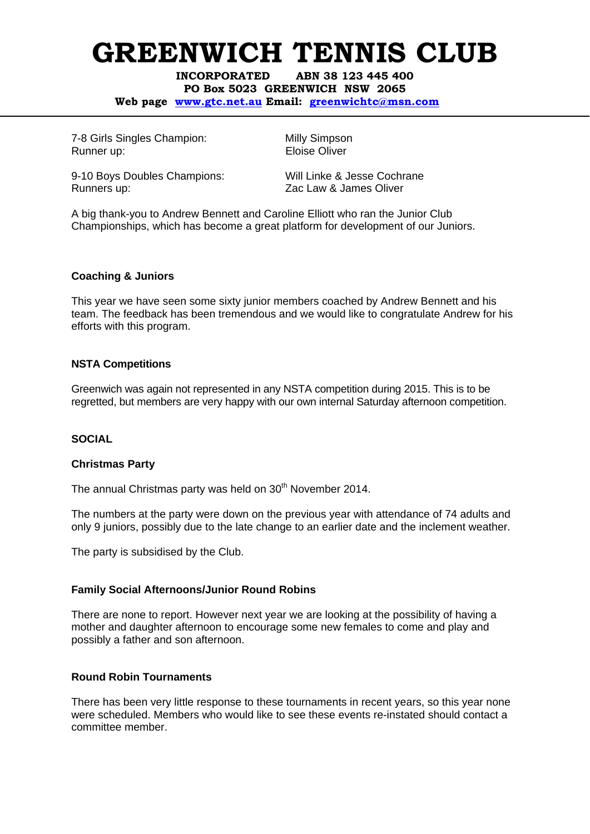**INCORPORATED ABN 38 123 445 400 PO Box 5023 GREENWICH NSW 2065 Web page www.gtc.net.au Email: greenwichtc@msn.com**

7-8 Girls Singles Champion: Milly Simpson Runner up: Eloise Oliver

9-10 Boys Doubles Champions: Will Linke & Jesse Cochrane Runners up: Zac Law & James Oliver

A big thank-you to Andrew Bennett and Caroline Elliott who ran the Junior Club Championships, which has become a great platform for development of our Juniors.

## **Coaching & Juniors**

This year we have seen some sixty junior members coached by Andrew Bennett and his team. The feedback has been tremendous and we would like to congratulate Andrew for his efforts with this program.

### **NSTA Competitions**

Greenwich was again not represented in any NSTA competition during 2015. This is to be regretted, but members are very happy with our own internal Saturday afternoon competition.

### **SOCIAL**

### **Christmas Party**

The annual Christmas party was held on 30<sup>th</sup> November 2014.

The numbers at the party were down on the previous year with attendance of 74 adults and only 9 juniors, possibly due to the late change to an earlier date and the inclement weather.

The party is subsidised by the Club.

### **Family Social Afternoons/Junior Round Robins**

There are none to report. However next year we are looking at the possibility of having a mother and daughter afternoon to encourage some new females to come and play and possibly a father and son afternoon.

### **Round Robin Tournaments**

There has been very little response to these tournaments in recent years, so this year none were scheduled. Members who would like to see these events re-instated should contact a committee member.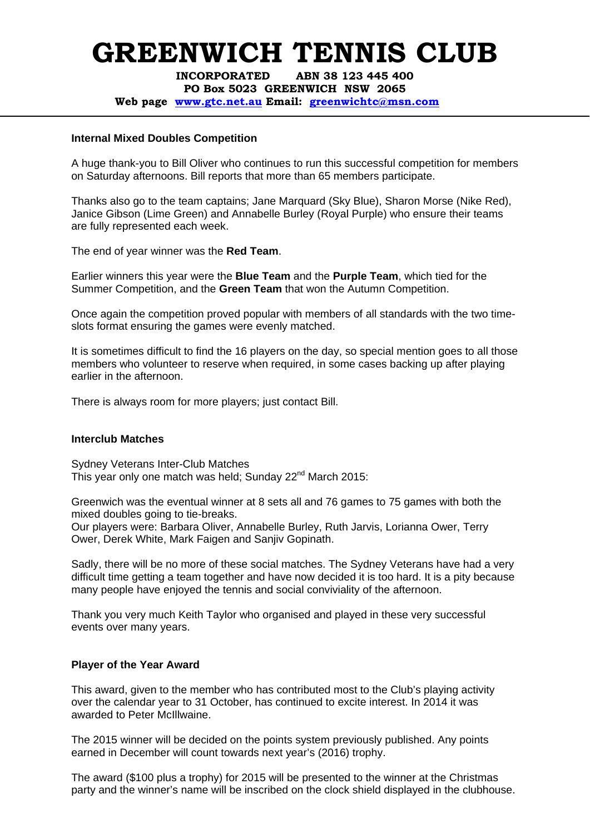**INCORPORATED ABN 38 123 445 400** 

**PO Box 5023 GREENWICH NSW 2065** 

**Web page www.gtc.net.au Email: greenwichtc@msn.com**

#### **Internal Mixed Doubles Competition**

A huge thank-you to Bill Oliver who continues to run this successful competition for members on Saturday afternoons. Bill reports that more than 65 members participate.

Thanks also go to the team captains; Jane Marquard (Sky Blue), Sharon Morse (Nike Red), Janice Gibson (Lime Green) and Annabelle Burley (Royal Purple) who ensure their teams are fully represented each week.

The end of year winner was the **Red Team**.

Earlier winners this year were the **Blue Team** and the **Purple Team**, which tied for the Summer Competition, and the **Green Team** that won the Autumn Competition.

Once again the competition proved popular with members of all standards with the two timeslots format ensuring the games were evenly matched.

It is sometimes difficult to find the 16 players on the day, so special mention goes to all those members who volunteer to reserve when required, in some cases backing up after playing earlier in the afternoon.

There is always room for more players; just contact Bill.

#### **Interclub Matches**

Sydney Veterans Inter-Club Matches This year only one match was held; Sunday 22<sup>nd</sup> March 2015:

Greenwich was the eventual winner at 8 sets all and 76 games to 75 games with both the mixed doubles going to tie-breaks.

Our players were: Barbara Oliver, Annabelle Burley, Ruth Jarvis, Lorianna Ower, Terry Ower, Derek White, Mark Faigen and Sanjiv Gopinath.

Sadly, there will be no more of these social matches. The Sydney Veterans have had a very difficult time getting a team together and have now decided it is too hard. It is a pity because many people have enjoyed the tennis and social conviviality of the afternoon.

Thank you very much Keith Taylor who organised and played in these very successful events over many years.

#### **Player of the Year Award**

This award, given to the member who has contributed most to the Club's playing activity over the calendar year to 31 October, has continued to excite interest. In 2014 it was awarded to Peter McIllwaine.

The 2015 winner will be decided on the points system previously published. Any points earned in December will count towards next year's (2016) trophy.

The award (\$100 plus a trophy) for 2015 will be presented to the winner at the Christmas party and the winner's name will be inscribed on the clock shield displayed in the clubhouse.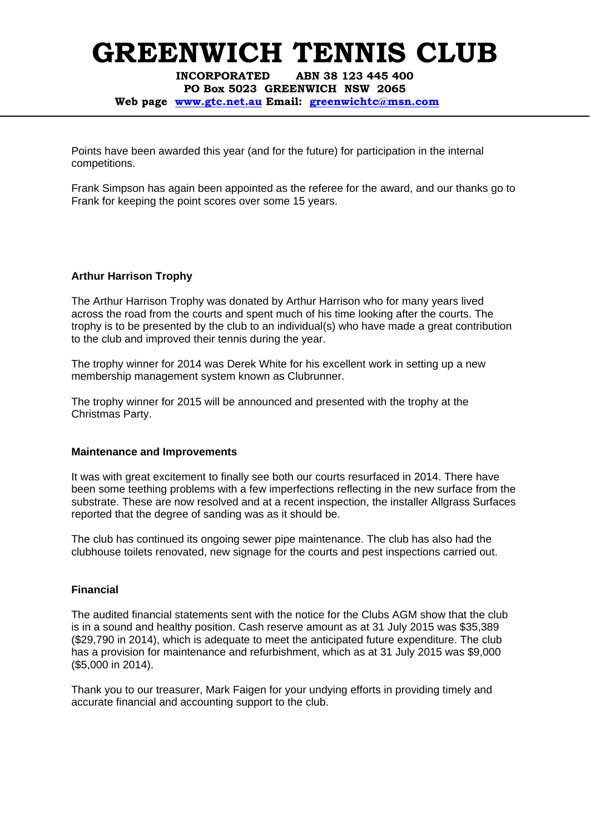**INCORPORATED ABN 38 123 445 400 PO Box 5023 GREENWICH NSW 2065 Web page www.gtc.net.au Email: greenwichtc@msn.com**

Points have been awarded this year (and for the future) for participation in the internal competitions.

Frank Simpson has again been appointed as the referee for the award, and our thanks go to Frank for keeping the point scores over some 15 years.

### **Arthur Harrison Trophy**

The Arthur Harrison Trophy was donated by Arthur Harrison who for many years lived across the road from the courts and spent much of his time looking after the courts. The trophy is to be presented by the club to an individual(s) who have made a great contribution to the club and improved their tennis during the year.

The trophy winner for 2014 was Derek White for his excellent work in setting up a new membership management system known as Clubrunner.

The trophy winner for 2015 will be announced and presented with the trophy at the Christmas Party.

### **Maintenance and Improvements**

It was with great excitement to finally see both our courts resurfaced in 2014. There have been some teething problems with a few imperfections reflecting in the new surface from the substrate. These are now resolved and at a recent inspection, the installer Allgrass Surfaces reported that the degree of sanding was as it should be.

The club has continued its ongoing sewer pipe maintenance. The club has also had the clubhouse toilets renovated, new signage for the courts and pest inspections carried out.

### **Financial**

The audited financial statements sent with the notice for the Clubs AGM show that the club is in a sound and healthy position. Cash reserve amount as at 31 July 2015 was \$35,389 (\$29,790 in 2014), which is adequate to meet the anticipated future expenditure. The club has a provision for maintenance and refurbishment, which as at 31 July 2015 was \$9,000 (\$5,000 in 2014).

Thank you to our treasurer, Mark Faigen for your undying efforts in providing timely and accurate financial and accounting support to the club.